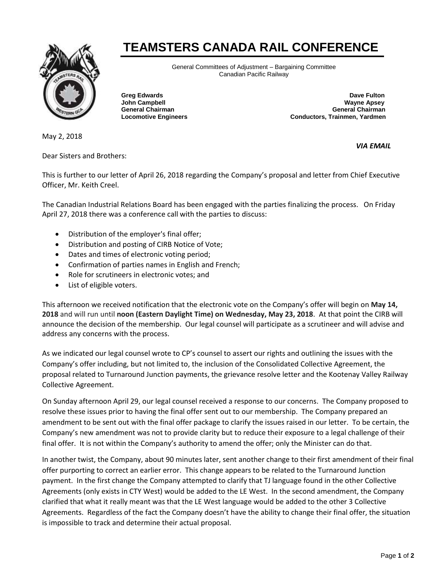## **TEAMSTERS CANADA RAIL CONFERENCE**



General Committees of Adjustment – Bargaining Committee Canadian Pacific Railway

**Greg Edwards Dave Fulton Dave Fulton Dave Fulton John Campbell Wayne Apsey General Chairman General Chairman Locomotive Engineers Conductors, Trainmen, Yardmen**

May 2, 2018

Dear Sisters and Brothers:

*VIA EMAIL* 

This is further to our letter of April 26, 2018 regarding the Company's proposal and letter from Chief Executive Officer, Mr. Keith Creel.

The Canadian Industrial Relations Board has been engaged with the parties finalizing the process. On Friday April 27, 2018 there was a conference call with the parties to discuss:

- Distribution of the employer's final offer;
- Distribution and posting of CIRB Notice of Vote;
- Dates and times of electronic voting period;
- Confirmation of parties names in English and French;
- Role for scrutineers in electronic votes; and
- List of eligible voters.

This afternoon we received notification that the electronic vote on the Company's offer will begin on **May 14, 2018** and will run until **noon (Eastern Daylight Time) on Wednesday, May 23, 2018**. At that point the CIRB will announce the decision of the membership. Our legal counsel will participate as a scrutineer and will advise and address any concerns with the process.

As we indicated our legal counsel wrote to CP's counsel to assert our rights and outlining the issues with the Company's offer including, but not limited to, the inclusion of the Consolidated Collective Agreement, the proposal related to Turnaround Junction payments, the grievance resolve letter and the Kootenay Valley Railway Collective Agreement.

On Sunday afternoon April 29, our legal counsel received a response to our concerns. The Company proposed to resolve these issues prior to having the final offer sent out to our membership. The Company prepared an amendment to be sent out with the final offer package to clarify the issues raised in our letter. To be certain, the Company's new amendment was not to provide clarity but to reduce their exposure to a legal challenge of their final offer. It is not within the Company's authority to amend the offer; only the Minister can do that.

In another twist, the Company, about 90 minutes later, sent another change to their first amendment of their final offer purporting to correct an earlier error. This change appears to be related to the Turnaround Junction payment. In the first change the Company attempted to clarify that TJ language found in the other Collective Agreements (only exists in CTY West) would be added to the LE West. In the second amendment, the Company clarified that what it really meant was that the LE West language would be added to the other 3 Collective Agreements. Regardless of the fact the Company doesn't have the ability to change their final offer, the situation is impossible to track and determine their actual proposal.